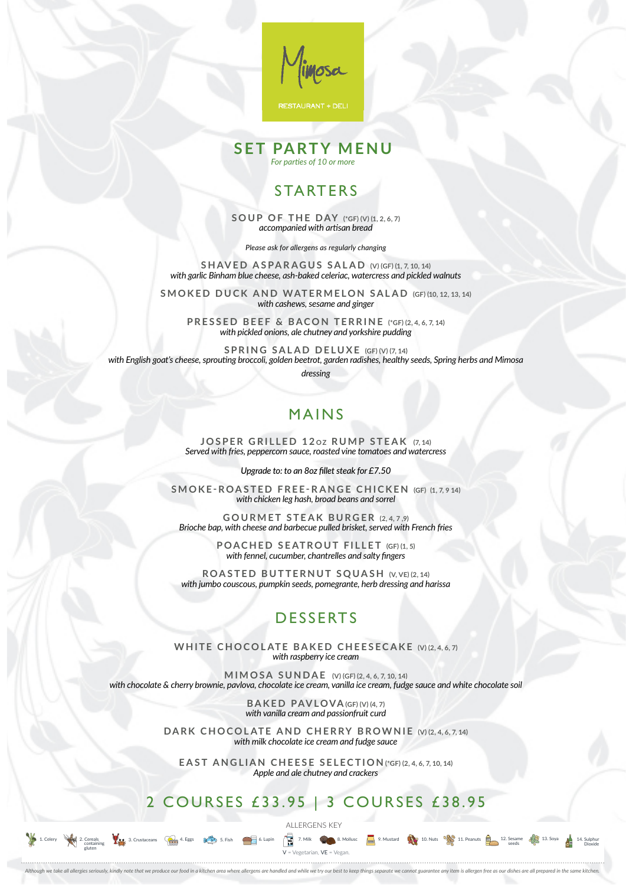## STARTERS

**SOUP OF THE DAY (\*GF) (V) (1, 2, 6, 7)** *accompanied with artisan bread*

*Please ask for allergens as regularly changing*

**SHAVED ASPARAGUS SALAD (V) (GF) (1, 7, 10, 14)** *with garlic Binham blue cheese, ash-baked celeriac, watercress and pickled walnuts*

**SMOKED DUCK AND WATERMELON SALAD (GF) (10, 12, 13, 14)** *with cashews, sesame and ginger*

**JOSPER GRILLED 12oz RUMP STEAK (7, 14)** *Served with fries, peppercorn sauce, roasted vine tomatoes and watercress*

**PRESSED BEEF & BACON TERRINE (\*GF) (2, 4, 6, 7, 14)** *with pickled onions, ale chutney and yorkshire pudding*

**SPRING SALAD DELUXE (GF) (V) (7, 14)** *with English goat's cheese, sprouting broccoli, golden beetrot, garden radishes, healthy seeds, Spring herbs and Mimosa* 

*dressing*

## MAINS

WHITE CHOCOLATE BAKED CHEESECAKE (V) (2, 4, 6, 7) *with raspberry ice cream*

*Upgrade to: to an 8oz fillet steak for £7.50*

#### DARK CHOCOLATE AND CHERRY BROWNIE (V) (2, 4, 6, 7, 14) *with milk chocolate ice cream and fudge sauce*

**SMOKE-ROASTED FREE-RANGE CHICKEN (GF) (1, 7, 9 14)** *with chicken leg hash, broad beans and sorrel*

**GOURMET STEAK BURGER (2, 4, 7 ,9)** *Brioche bap, with cheese and barbecue pulled brisket, served with French fries*

> **POACHED SEATROUT FILLET (GF) (1, 5)** *with fennel, cucumber, chantrelles and salty fingers*

**ROASTED BUTTERNUT SQUASH (V, VE) (2, 14)** *with jumbo couscous, pumpkin seeds, pomegrante, herb dressing and harissa*

# DESSERTS

**MIMOSA SUNDAE (V) (GF) (2, 4, 6, 7, 10, 14)**  *with chocolate & cherry brownie, pavlova, chocolate ice cream, vanilla ice cream, fudge sauce and white chocolate soil*

> **BAKED PAVLOVA(GF) (V) (4, 7)** *with vanilla cream and passionfruit curd*

**EAST ANGLIAN CHEESE SELECTION (\*GF) (2, 4, 6, 7, 10, 14)** *Apple and ale chutney and crackers*

## 2 COURSES £33.95 | 3 COURSES £38.95



Although we take all allergies seriously, kindly note that we produce our food in a kitchen area where allergens are handled and while we try our best to keep things separate we cannot guarantee any item is allergen free a



#### **SET PARTY MENU** *For parties of 10 or more*